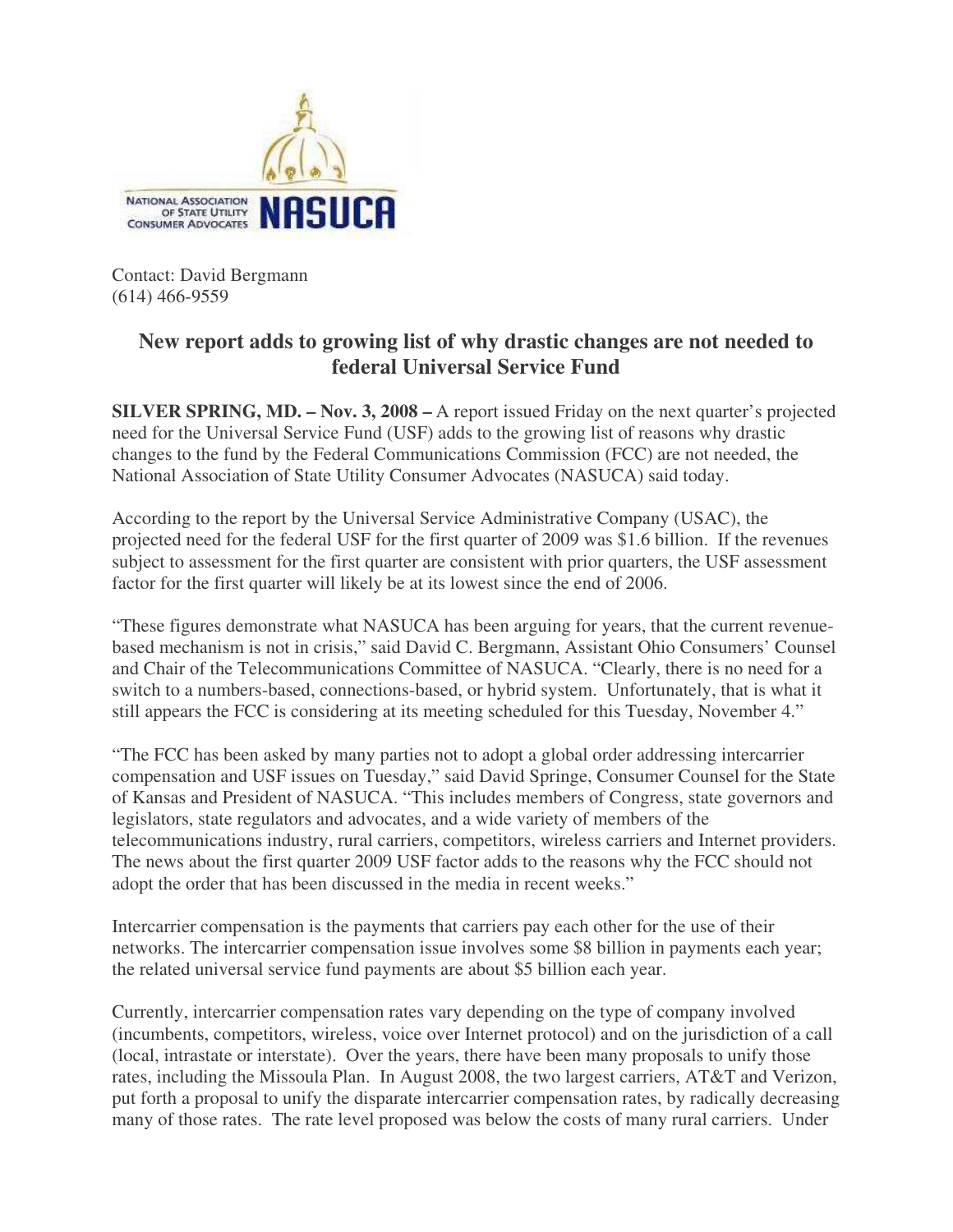

Contact: David Bergmann (614) 466-9559

## **New report adds to growing list of why drastic changes are not needed to federal Universal Service Fund**

**SILVER SPRING, MD. – Nov. 3, 2008 –** A report issued Friday on the next quarter's projected need for the Universal Service Fund (USF) adds to the growing list of reasons why drastic changes to the fund by the Federal Communications Commission (FCC) are not needed, the National Association of State Utility Consumer Advocates (NASUCA) said today.

According to the report by the Universal Service Administrative Company (USAC), the projected need for the federal USF for the first quarter of 2009 was \$1.6 billion. If the revenues subject to assessment for the first quarter are consistent with prior quarters, the USF assessment factor for the first quarter will likely be at its lowest since the end of 2006.

"These figures demonstrate what NASUCA has been arguing for years, that the current revenuebased mechanism is not in crisis," said David C. Bergmann, Assistant Ohio Consumers' Counsel and Chair of the Telecommunications Committee of NASUCA. "Clearly, there is no need for a switch to a numbers-based, connections-based, or hybrid system. Unfortunately, that is what it still appears the FCC is considering at its meeting scheduled for this Tuesday, November 4."

"The FCC has been asked by many parties not to adopt a global order addressing intercarrier compensation and USF issues on Tuesday," said David Springe, Consumer Counsel for the State of Kansas and President of NASUCA. "This includes members of Congress, state governors and legislators, state regulators and advocates, and a wide variety of members of the telecommunications industry, rural carriers, competitors, wireless carriers and Internet providers. The news about the first quarter 2009 USF factor adds to the reasons why the FCC should not adopt the order that has been discussed in the media in recent weeks."

Intercarrier compensation is the payments that carriers pay each other for the use of their networks. The intercarrier compensation issue involves some \$8 billion in payments each year; the related universal service fund payments are about \$5 billion each year.

Currently, intercarrier compensation rates vary depending on the type of company involved (incumbents, competitors, wireless, voice over Internet protocol) and on the jurisdiction of a call (local, intrastate or interstate). Over the years, there have been many proposals to unify those rates, including the Missoula Plan. In August 2008, the two largest carriers, AT&T and Verizon, put forth a proposal to unify the disparate intercarrier compensation rates, by radically decreasing many of those rates. The rate level proposed was below the costs of many rural carriers. Under